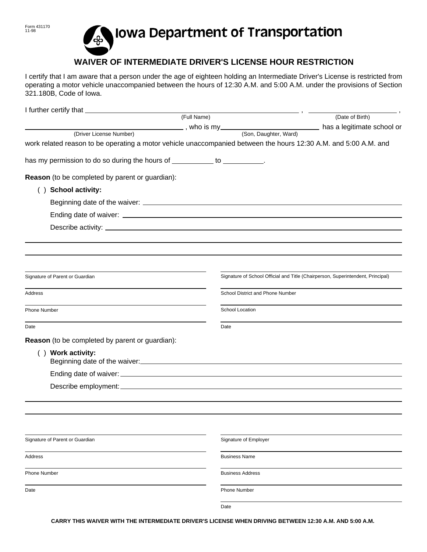## Iowa Department of Transportation ′&

## **WAIVER OF INTERMEDIATE DRIVER'S LICENSE HOUR RESTRICTION**

I certify that I am aware that a person under the age of eighteen holding an Intermediate Driver's License is restricted from operating a motor vehicle unaccompanied between the hours of 12:30 A.M. and 5:00 A.M. under the provisions of Section 321.180B, Code of Iowa.

|                                                                                                                  |                                                                                 | $\overline{\phantom{a}}$ |
|------------------------------------------------------------------------------------------------------------------|---------------------------------------------------------------------------------|--------------------------|
| (Full Name)                                                                                                      |                                                                                 | (Date of Birth)          |
| (Driver License Number)                                                                                          |                                                                                 |                          |
| work related reason to be operating a motor vehicle unaccompanied between the hours 12:30 A.M. and 5:00 A.M. and |                                                                                 |                          |
|                                                                                                                  |                                                                                 |                          |
| has my permission to do so during the hours of ___________ to __________.                                        |                                                                                 |                          |
| Reason (to be completed by parent or guardian):                                                                  |                                                                                 |                          |
| <b>School activity:</b><br>( )                                                                                   |                                                                                 |                          |
|                                                                                                                  |                                                                                 |                          |
|                                                                                                                  |                                                                                 |                          |
|                                                                                                                  |                                                                                 |                          |
|                                                                                                                  |                                                                                 |                          |
|                                                                                                                  |                                                                                 |                          |
|                                                                                                                  |                                                                                 |                          |
| Signature of Parent or Guardian                                                                                  | Signature of School Official and Title (Chairperson, Superintendent, Principal) |                          |
| Address                                                                                                          | School District and Phone Number                                                |                          |
| Phone Number                                                                                                     | School Location                                                                 |                          |
| Date                                                                                                             | Date                                                                            |                          |
| Reason (to be completed by parent or guardian):                                                                  |                                                                                 |                          |
| () Work activity:<br>Beginning date of the waiver:<br><u>Example 2008</u>                                        |                                                                                 |                          |
|                                                                                                                  |                                                                                 |                          |
|                                                                                                                  |                                                                                 |                          |
|                                                                                                                  |                                                                                 |                          |
|                                                                                                                  |                                                                                 |                          |
|                                                                                                                  |                                                                                 |                          |
|                                                                                                                  |                                                                                 |                          |
| Signature of Parent or Guardian                                                                                  | Signature of Employer                                                           |                          |
| Address                                                                                                          | <b>Business Name</b>                                                            |                          |
| <b>Phone Number</b>                                                                                              | <b>Business Address</b>                                                         |                          |
| Date                                                                                                             | <b>Phone Number</b>                                                             |                          |
|                                                                                                                  | Date                                                                            |                          |

**CARRY THIS WAIVER WITH THE INTERMEDIATE DRIVER'S LICENSE WHEN DRIVING BETWEEN 12:30 A.M. AND 5:00 A.M.**